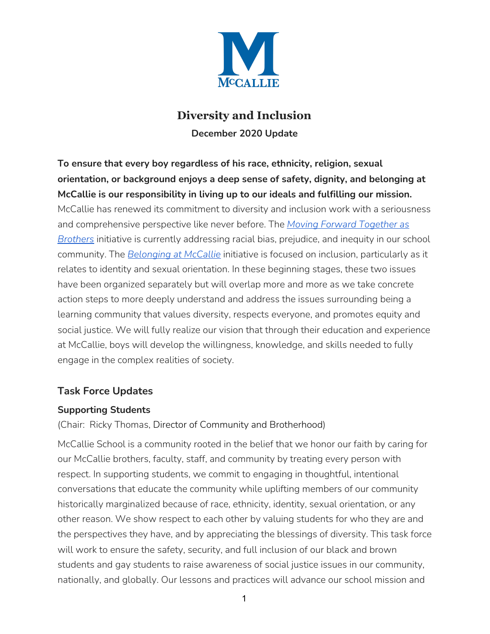

# **Diversity and Inclusion December 2020 Update**

**To ensure that every boy regardless of his race, ethnicity, religion, sexual orientation, or background enjoys a deep sense of safety, dignity, and belonging at McCallie is our responsibility in living up to our ideals and fulfilling our mission.**

McCallie has renewed its commitment to diversity and inclusion work with a seriousness and comprehensive perspective like never before. The *Moving Forward [Together](https://www.mccallie.org/about/diversity-inclusion-and-brotherhood/moving-forward-together-as-brothers) as [Brothers](https://www.mccallie.org/about/diversity-inclusion-and-brotherhood/moving-forward-together-as-brothers)* initiative is currently addressing racial bias, prejudice, and inequity in our school community. The *[Belonging](https://www.mccallie.org/about/diversity-inclusion-and-brotherhood/belonging-at-mccallie) at McCallie* initiative is focused on inclusion, particularly as it relates to identity and sexual orientation. In these beginning stages, these two issues have been organized separately but will overlap more and more as we take concrete action steps to more deeply understand and address the issues surrounding being a learning community that values diversity, respects everyone, and promotes equity and social justice. We will fully realize our vision that through their education and experience at McCallie, boys will develop the willingness, knowledge, and skills needed to fully engage in the complex realities of society.

## **Task Force Updates**

#### **Supporting Students**

(Chair: Ricky Thomas, Director of Community and Brotherhood)

McCallie School is a community rooted in the belief that we honor our faith by caring for our McCallie brothers, faculty, staff, and community by treating every person with respect. In supporting students, we commit to engaging in thoughtful, intentional conversations that educate the community while uplifting members of our community historically marginalized because of race, ethnicity, identity, sexual orientation, or any other reason. We show respect to each other by valuing students for who they are and the perspectives they have, and by appreciating the blessings of diversity. This task force will work to ensure the safety, security, and full inclusion of our black and brown students and gay students to raise awareness of social justice issues in our community, nationally, and globally. Our lessons and practices will advance our school mission and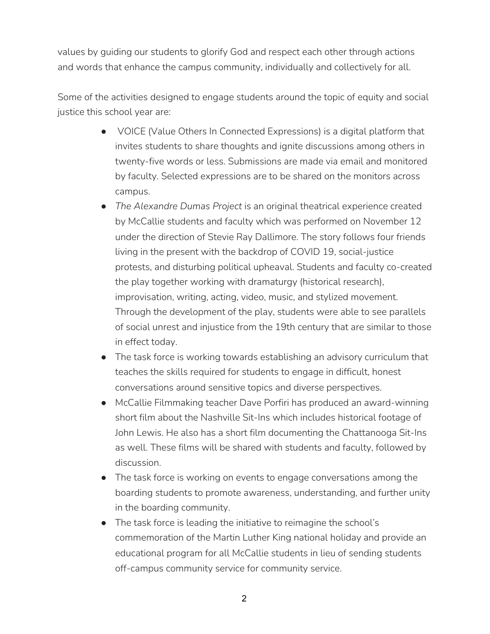values by guiding our students to glorify God and respect each other through actions and words that enhance the campus community, individually and collectively for all.

Some of the activities designed to engage students around the topic of equity and social justice this school year are:

- VOICE (Value Others In Connected Expressions) is a digital platform that invites students to share thoughts and ignite discussions among others in twenty-five words or less. Submissions are made via email and monitored by faculty. Selected expressions are to be shared on the monitors across campus.
- *The Alexandre Dumas Project* is an original theatrical experience created by McCallie students and faculty which was performed on November 12 under the direction of Stevie Ray Dallimore. The story follows four friends living in the present with the backdrop of COVID 19, social-justice protests, and disturbing political upheaval. Students and faculty co-created the play together working with dramaturgy (historical research), improvisation, writing, acting, video, music, and stylized movement. Through the development of the play, students were able to see parallels of social unrest and injustice from the 19th century that are similar to those in effect today.
- The task force is working towards establishing an advisory curriculum that teaches the skills required for students to engage in difficult, honest conversations around sensitive topics and diverse perspectives.
- McCallie Filmmaking teacher Dave Porfiri has produced an award-winning short film about the Nashville Sit-Ins which includes historical footage of John Lewis. He also has a short film documenting the Chattanooga Sit-Ins as well. These films will be shared with students and faculty, followed by discussion.
- The task force is working on events to engage conversations among the boarding students to promote awareness, understanding, and further unity in the boarding community.
- The task force is leading the initiative to reimagine the school's commemoration of the Martin Luther King national holiday and provide an educational program for all McCallie students in lieu of sending students off-campus community service for community service.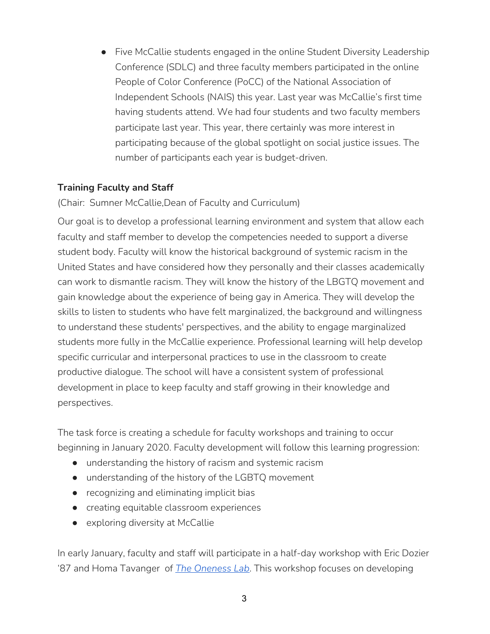● Five McCallie students engaged in the online Student Diversity Leadership Conference (SDLC) and three faculty members participated in the online People of Color Conference (PoCC) of the National Association of Independent Schools (NAIS) this year. Last year was McCallie's first time having students attend. We had four students and two faculty members participate last year. This year, there certainly was more interest in participating because of the global spotlight on social justice issues. The number of participants each year is budget-driven.

## **Training Faculty and Staff**

(Chair: Sumner McCallie,Dean of Faculty and Curriculum)

Our goal is to develop a professional learning environment and system that allow each faculty and staff member to develop the competencies needed to support a diverse student body. Faculty will know the historical background of systemic racism in the United States and have considered how they personally and their classes academically can work to dismantle racism. They will know the history of the LBGTQ movement and gain knowledge about the experience of being gay in America. They will develop the skills to listen to students who have felt marginalized, the background and willingness to understand these students' perspectives, and the ability to engage marginalized students more fully in the McCallie experience. Professional learning will help develop specific curricular and interpersonal practices to use in the classroom to create productive dialogue. The school will have a consistent system of professional development in place to keep faculty and staff growing in their knowledge and perspectives.

The task force is creating a schedule for faculty workshops and training to occur beginning in January 2020. Faculty development will follow this learning progression:

- understanding the history of racism and systemic racism
- understanding of the history of the LGBTQ movement
- recognizing and eliminating implicit bias
- creating equitable classroom experiences
- exploring diversity at McCallie

In early January, faculty and staff will participate in a half-day workshop with Eric Dozier '87 and Homa Tavanger of *The [Oneness](https://www.onenesslab.com/) Lab*. This workshop focuses on developing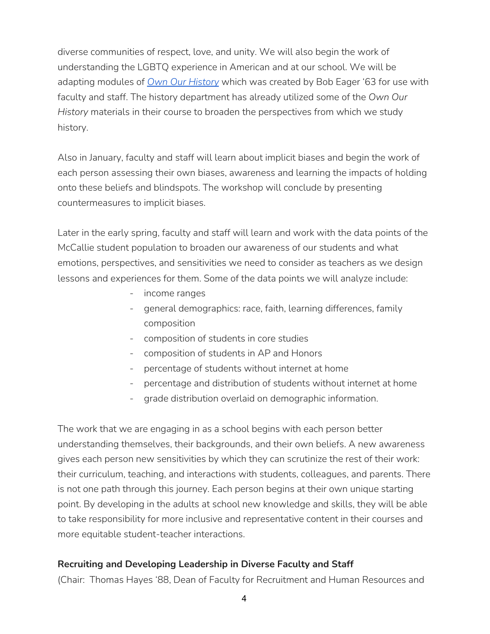diverse communities of respect, love, and unity. We will also begin the work of understanding the LGBTQ experience in American and at our school. We will be adapting modules of *Own Our [History](https://www.ownyourhistory.us/)* which was created by Bob Eager '63 for use with faculty and staff. The history department has already utilized some of the *Own Our History* materials in their course to broaden the perspectives from which we study history.

Also in January, faculty and staff will learn about implicit biases and begin the work of each person assessing their own biases, awareness and learning the impacts of holding onto these beliefs and blindspots. The workshop will conclude by presenting countermeasures to implicit biases.

Later in the early spring, faculty and staff will learn and work with the data points of the McCallie student population to broaden our awareness of our students and what emotions, perspectives, and sensitivities we need to consider as teachers as we design lessons and experiences for them. Some of the data points we will analyze include:

- income ranges
- general demographics: race, faith, learning differences, family composition
- composition of students in core studies
- composition of students in AP and Honors
- percentage of students without internet at home
- percentage and distribution of students without internet at home
- grade distribution overlaid on demographic information.

The work that we are engaging in as a school begins with each person better understanding themselves, their backgrounds, and their own beliefs. A new awareness gives each person new sensitivities by which they can scrutinize the rest of their work: their curriculum, teaching, and interactions with students, colleagues, and parents. There is not one path through this journey. Each person begins at their own unique starting point. By developing in the adults at school new knowledge and skills, they will be able to take responsibility for more inclusive and representative content in their courses and more equitable student-teacher interactions.

#### **Recruiting and Developing Leadership in Diverse Faculty and Staff**

(Chair: Thomas Hayes '88, Dean of Faculty for Recruitment and Human Resources and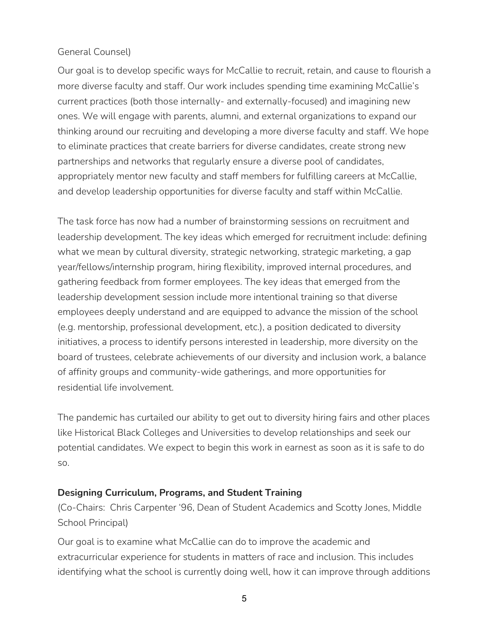### General Counsel)

Our goal is to develop specific ways for McCallie to recruit, retain, and cause to flourish a more diverse faculty and staff. Our work includes spending time examining McCallie's current practices (both those internally- and externally-focused) and imagining new ones. We will engage with parents, alumni, and external organizations to expand our thinking around our recruiting and developing a more diverse faculty and staff. We hope to eliminate practices that create barriers for diverse candidates, create strong new partnerships and networks that regularly ensure a diverse pool of candidates, appropriately mentor new faculty and staff members for fulfilling careers at McCallie, and develop leadership opportunities for diverse faculty and staff within McCallie.

The task force has now had a number of brainstorming sessions on recruitment and leadership development. The key ideas which emerged for recruitment include: defining what we mean by cultural diversity, strategic networking, strategic marketing, a gap year/fellows/internship program, hiring flexibility, improved internal procedures, and gathering feedback from former employees. The key ideas that emerged from the leadership development session include more intentional training so that diverse employees deeply understand and are equipped to advance the mission of the school (e.g. mentorship, professional development, etc.), a position dedicated to diversity initiatives, a process to identify persons interested in leadership, more diversity on the board of trustees, celebrate achievements of our diversity and inclusion work, a balance of affinity groups and community-wide gatherings, and more opportunities for residential life involvement.

The pandemic has curtailed our ability to get out to diversity hiring fairs and other places like Historical Black Colleges and Universities to develop relationships and seek our potential candidates. We expect to begin this work in earnest as soon as it is safe to do so.

#### **Designing Curriculum, Programs, and Student Training**

(Co-Chairs: Chris Carpenter '96, Dean of Student Academics and Scotty Jones, Middle School Principal)

Our goal is to examine what McCallie can do to improve the academic and extracurricular experience for students in matters of race and inclusion. This includes identifying what the school is currently doing well, how it can improve through additions

5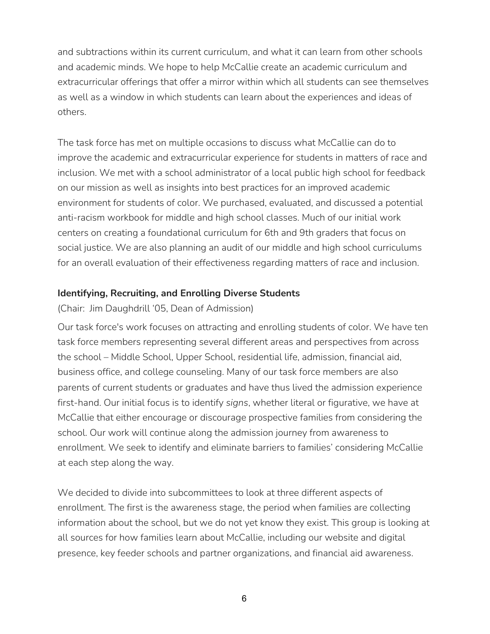and subtractions within its current curriculum, and what it can learn from other schools and academic minds. We hope to help McCallie create an academic curriculum and extracurricular offerings that offer a mirror within which all students can see themselves as well as a window in which students can learn about the experiences and ideas of others.

The task force has met on multiple occasions to discuss what McCallie can do to improve the academic and extracurricular experience for students in matters of race and inclusion. We met with a school administrator of a local public high school for feedback on our mission as well as insights into best practices for an improved academic environment for students of color. We purchased, evaluated, and discussed a potential anti-racism workbook for middle and high school classes. Much of our initial work centers on creating a foundational curriculum for 6th and 9th graders that focus on social justice. We are also planning an audit of our middle and high school curriculums for an overall evaluation of their effectiveness regarding matters of race and inclusion.

#### **Identifying, Recruiting, and Enrolling Diverse Students**

(Chair: Jim Daughdrill '05, Dean of Admission)

Our task force's work focuses on attracting and enrolling students of color. We have ten task force members representing several different areas and perspectives from across the school – Middle School, Upper School, residential life, admission, financial aid, business office, and college counseling. Many of our task force members are also parents of current students or graduates and have thus lived the admission experience first-hand. Our initial focus is to identify *signs*, whether literal or figurative, we have at McCallie that either encourage or discourage prospective families from considering the school. Our work will continue along the admission journey from awareness to enrollment. We seek to identify and eliminate barriers to families' considering McCallie at each step along the way.

We decided to divide into subcommittees to look at three different aspects of enrollment. The first is the awareness stage, the period when families are collecting information about the school, but we do not yet know they exist. This group is looking at all sources for how families learn about McCallie, including our website and digital presence, key feeder schools and partner organizations, and financial aid awareness.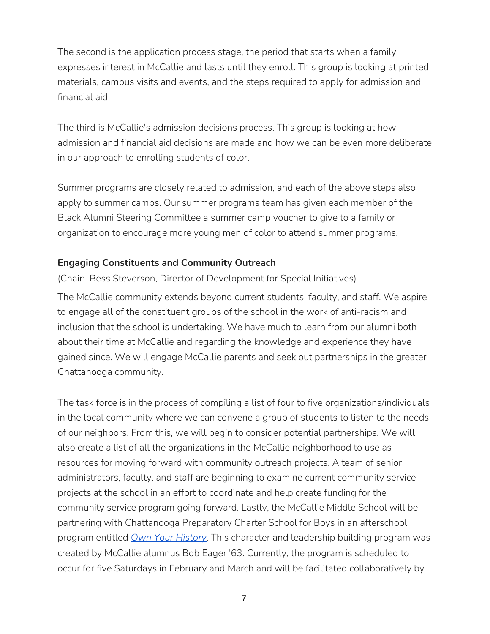The second is the application process stage, the period that starts when a family expresses interest in McCallie and lasts until they enroll. This group is looking at printed materials, campus visits and events, and the steps required to apply for admission and financial aid.

The third is McCallie's admission decisions process. This group is looking at how admission and financial aid decisions are made and how we can be even more deliberate in our approach to enrolling students of color.

Summer programs are closely related to admission, and each of the above steps also apply to summer camps. Our summer programs team has given each member of the Black Alumni Steering Committee a summer camp voucher to give to a family or organization to encourage more young men of color to attend summer programs.

#### **Engaging Constituents and Community Outreach**

(Chair: Bess Steverson, Director of Development for Special Initiatives)

The McCallie community extends beyond current students, faculty, and staff. We aspire to engage all of the constituent groups of the school in the work of anti-racism and inclusion that the school is undertaking. We have much to learn from our alumni both about their time at McCallie and regarding the knowledge and experience they have gained since. We will engage McCallie parents and seek out partnerships in the greater Chattanooga community.

The task force is in the process of compiling a list of four to five organizations/individuals in the local community where we can convene a group of students to listen to the needs of our neighbors. From this, we will begin to consider potential partnerships. We will also create a list of all the organizations in the McCallie neighborhood to use as resources for moving forward with community outreach projects. A team of senior administrators, faculty, and staff are beginning to examine current community service projects at the school in an effort to coordinate and help create funding for the community service program going forward. Lastly, the McCallie Middle School will be partnering with Chattanooga Preparatory Charter School for Boys in an afterschool program entitled *Own Your [History](https://www.ownyourhistory.us/)*. This character and leadership building program was created by McCallie alumnus Bob Eager '63. Currently, the program is scheduled to occur for five Saturdays in February and March and will be facilitated collaboratively by